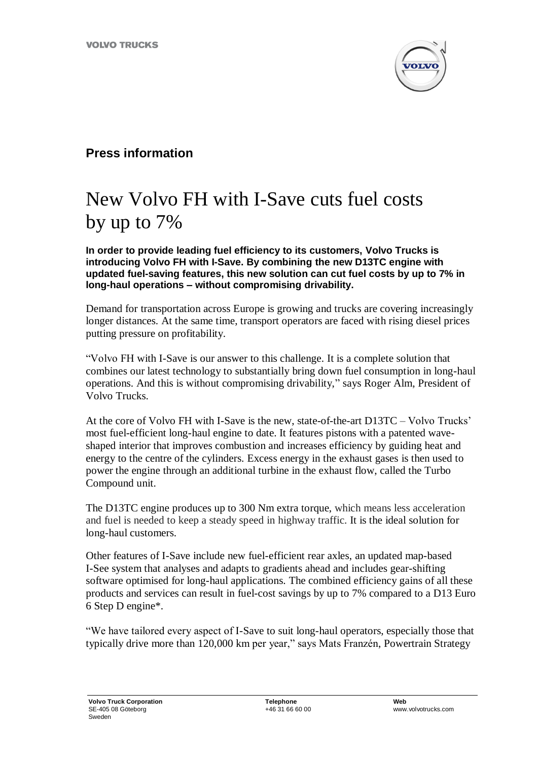

## **Press information**

## New Volvo FH with I-Save cuts fuel costs by up to 7%

**In order to provide leading fuel efficiency to its customers, Volvo Trucks is introducing Volvo FH with I-Save. By combining the new D13TC engine with updated fuel-saving features, this new solution can cut fuel costs by up to 7% in long-haul operations – without compromising drivability.**

Demand for transportation across Europe is growing and trucks are covering increasingly longer distances. At the same time, transport operators are faced with rising diesel prices putting pressure on profitability.

"Volvo FH with I-Save is our answer to this challenge. It is a complete solution that combines our latest technology to substantially bring down fuel consumption in long-haul operations. And this is without compromising drivability," says Roger Alm, President of Volvo Trucks.

At the core of Volvo FH with I-Save is the new, state-of-the-art D13TC – Volvo Trucks' most fuel-efficient long-haul engine to date. It features pistons with a patented waveshaped interior that improves combustion and increases efficiency by guiding heat and energy to the centre of the cylinders. Excess energy in the exhaust gases is then used to power the engine through an additional turbine in the exhaust flow, called the Turbo Compound unit.

The D13TC engine produces up to 300 Nm extra torque, which means less acceleration and fuel is needed to keep a steady speed in highway traffic. It is the ideal solution for long-haul customers.

Other features of I-Save include new fuel-efficient rear axles, an updated map-based I-See system that analyses and adapts to gradients ahead and includes gear-shifting software optimised for long-haul applications. The combined efficiency gains of all these products and services can result in fuel-cost savings by up to 7% compared to a D13 Euro 6 Step D engine\*.

"We have tailored every aspect of I-Save to suit long-haul operators, especially those that typically drive more than 120,000 km per year," says Mats Franzén, Powertrain Strategy